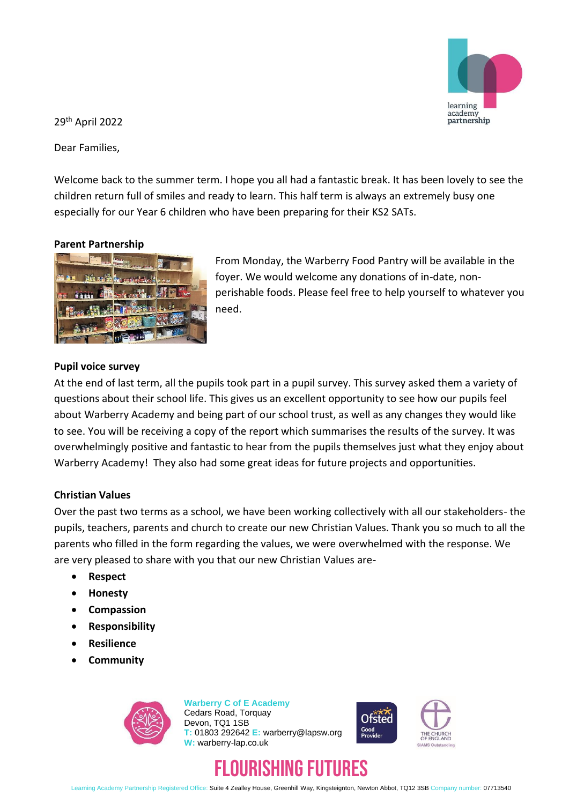

29th April 2022

Dear Families,

Welcome back to the summer term. I hope you all had a fantastic break. It has been lovely to see the children return full of smiles and ready to learn. This half term is always an extremely busy one especially for our Year 6 children who have been preparing for their KS2 SATs.

# **Parent Partnership**



From Monday, the Warberry Food Pantry will be available in the foyer. We would welcome any donations of in-date, nonperishable foods. Please feel free to help yourself to whatever you need.

# **Pupil voice survey**

At the end of last term, all the pupils took part in a pupil survey. This survey asked them a variety of questions about their school life. This gives us an excellent opportunity to see how our pupils feel about Warberry Academy and being part of our school trust, as well as any changes they would like to see. You will be receiving a copy of the report which summarises the results of the survey. It was overwhelmingly positive and fantastic to hear from the pupils themselves just what they enjoy about Warberry Academy! They also had some great ideas for future projects and opportunities.

### **Christian Values**

Over the past two terms as a school, we have been working collectively with all our stakeholders- the pupils, teachers, parents and church to create our new Christian Values. Thank you so much to all the parents who filled in the form regarding the values, we were overwhelmed with the response. We are very pleased to share with you that our new Christian Values are-

- **Respect**
- **Honesty**
- **Compassion**
- **Responsibility**
- **Resilience**
- **Community**



**Warberry C of E Academy** Cedars Road, Torquay Devon, TQ1 1SB **T:** 01803 292642 **E:** warberry@lapsw.org **W:** warberry-lap.co.uk



# IRISHING FIITIRES

Learning Academy Partnership Registered Office: Suite 4 Zealley House, Greenhill Way, Kingsteignton, Newton Abbot, TQ12 3SB Company number: 07713540